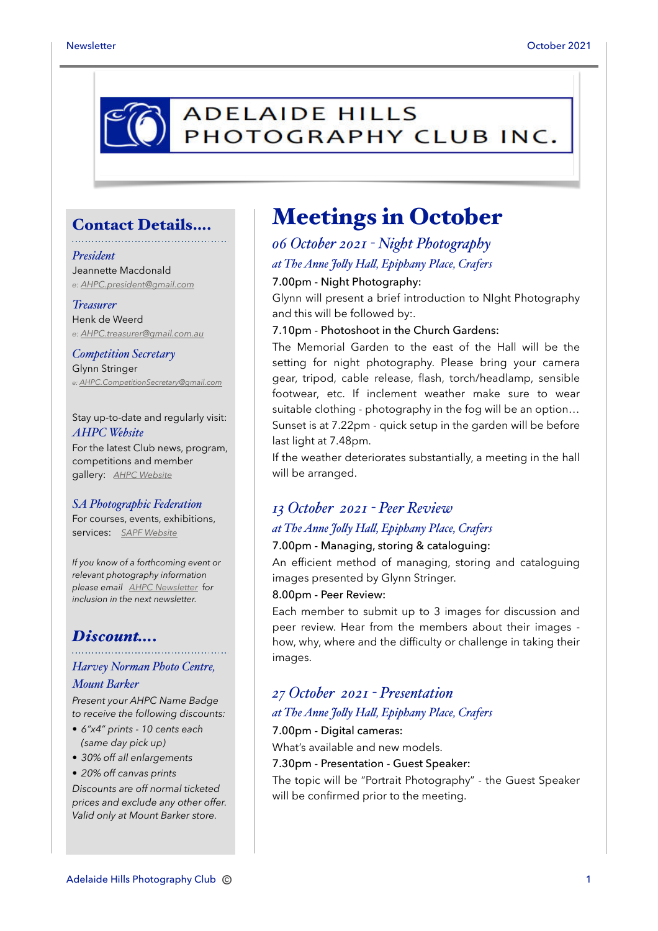

## Contact Details….

#### *President*

Jeannette Macdonald *e: [AHPC.president@gmail.com](mailto:AHPC.president@gmail.com)*

#### *Treasurer*

Henk de Weerd *e: [AHPC.treasurer@gmail.com.au](mailto:AHPC.treasurer@gmail.com.au)*

## *Competition Secretary*  Glynn Stringer

*e: [AHPC.CompetitionSecretary@gmail.com](mailto:AHPC.CompetitionSecretary@gmail.com)*

Stay up-to-date and regularly visit: *AHPC Website*  For the latest Club news, program, competitions and member gallery: *[AHPC Website](http://www.adelaidehillsphotographyclub.com.au)*

#### *SA Photographic Federation*

For courses, events, exhibitions, services: *[SAPF Website](https://www.sapf.org.au)*

*If you know of a forthcoming event or relevant photography information please email [AHPC Newsletter](mailto:AHPC.newsletter@gmail.com)* f*or inclusion in the next newsletter.*

## *Discount….*

### *Harvey Norman Photo Centre,*

#### *Mount Barker*

*Present your AHPC Name Badge to receive the following discounts:*

- *6"x4" prints 10 cents each (same day pick up)*
- *30% off all enlargements*
- *20% off canvas prints*

*Discounts are off normal ticketed prices and exclude any other offer. Valid only at Mount Barker store.*

## Meetings in October

## *06 October 2021 - Night Photography at The Anne Jolly Hall, Epiphany Place, Crafers*

### 7.00pm - Night Photography:

Glynn will present a brief introduction to NIght Photography and this will be followed by:.

#### 7.10pm - Photoshoot in the Church Gardens:

The Memorial Garden to the east of the Hall will be the setting for night photography. Please bring your camera gear, tripod, cable release, flash, torch/headlamp, sensible footwear, etc. If inclement weather make sure to wear suitable clothing - photography in the fog will be an option… Sunset is at 7.22pm - quick setup in the garden will be before last light at 7.48pm.

If the weather deteriorates substantially, a meeting in the hall will be arranged.

## *13 October 2021 - Peer Review*

## *at The Anne Jolly Hall, Epiphany Place, Crafers*

### 7.00pm - Managing, storing & cataloguing:

An efficient method of managing, storing and cataloguing images presented by Glynn Stringer.

#### 8.00pm - Peer Review:

Each member to submit up to 3 images for discussion and peer review. Hear from the members about their images how, why, where and the difficulty or challenge in taking their images.

## *27 October 2021 - Presentation*

### *at The Anne Jolly Hall, Epiphany Place, Crafers*

### 7.00pm - Digital cameras:

What's available and new models.

#### 7.30pm - Presentation - Guest Speaker:

The topic will be "Portrait Photography" - the Guest Speaker will be confirmed prior to the meeting.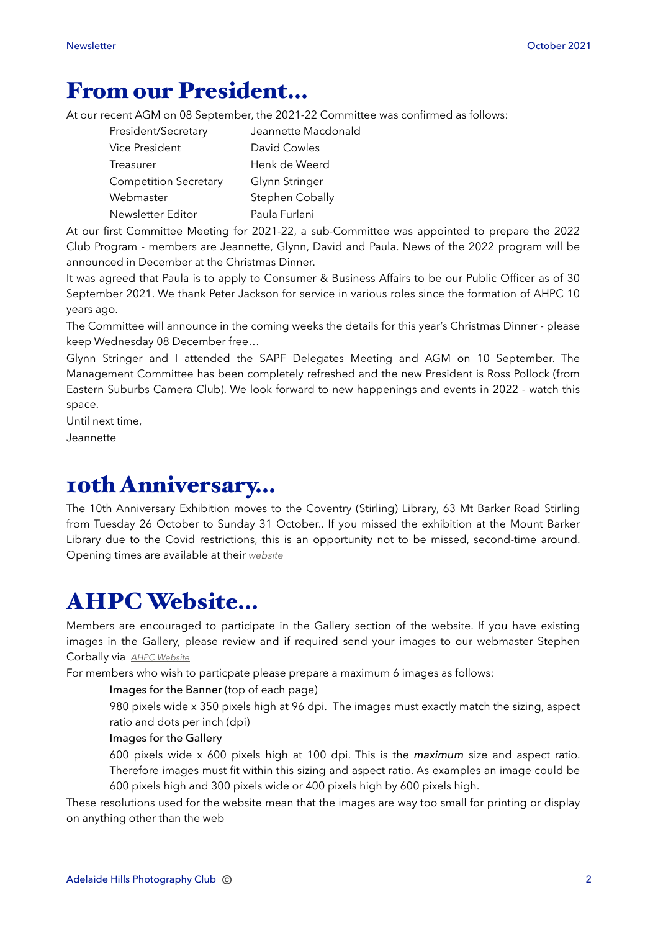## From our President…

At our recent AGM on 08 September, the 2021-22 Committee was confirmed as follows:

| President/Secretary          | Jeannette Macdonald |
|------------------------------|---------------------|
| Vice President               | David Cowles        |
| Treasurer                    | Henk de Weerd       |
| <b>Competition Secretary</b> | Glynn Stringer      |
| Webmaster                    | Stephen Cobally     |
| Newsletter Editor            | Paula Furlani       |

At our first Committee Meeting for 2021-22, a sub-Committee was appointed to prepare the 2022 Club Program - members are Jeannette, Glynn, David and Paula. News of the 2022 program will be announced in December at the Christmas Dinner.

It was agreed that Paula is to apply to Consumer & Business Affairs to be our Public Officer as of 30 September 2021. We thank Peter Jackson for service in various roles since the formation of AHPC 10 years ago.

The Committee will announce in the coming weeks the details for this year's Christmas Dinner - please keep Wednesday 08 December free…

Glynn Stringer and I attended the SAPF Delegates Meeting and AGM on 10 September. The Management Committee has been completely refreshed and the new President is Ross Pollock (from Eastern Suburbs Camera Club). We look forward to new happenings and events in 2022 - watch this space.

Until next time,

Jeannette

## 10th Anniversary…

The 10th Anniversary Exhibition moves to the Coventry (Stirling) Library, 63 Mt Barker Road Stirling from Tuesday 26 October to Sunday 31 October.. If you missed the exhibition at the Mount Barker Library due to the Covid restrictions, this is an opportunity not to be missed, second-time around. Opening times are available at their *[website](https://www.ahc.sa.gov.au/contact-us#libraries)*

# AHPC Website…

Members are encouraged to participate in the Gallery section of the website. If you have existing images in the Gallery, please review and if required send your images to our webmaster Stephen Corbally via *[AHPC Website](http://www.adelaidehillsphotographyclub.com.au)*

For members who wish to particpate please prepare a maximum 6 images as follows:

### Images for the Banner (top of each page)

980 pixels wide x 350 pixels high at 96 dpi. The images must exactly match the sizing, aspect ratio and dots per inch (dpi)

### Images for the Gallery

600 pixels wide x 600 pixels high at 100 dpi. This is the *maximum* size and aspect ratio. Therefore images must fit within this sizing and aspect ratio. As examples an image could be 600 pixels high and 300 pixels wide or 400 pixels high by 600 pixels high.

These resolutions used for the website mean that the images are way too small for printing or display on anything other than the web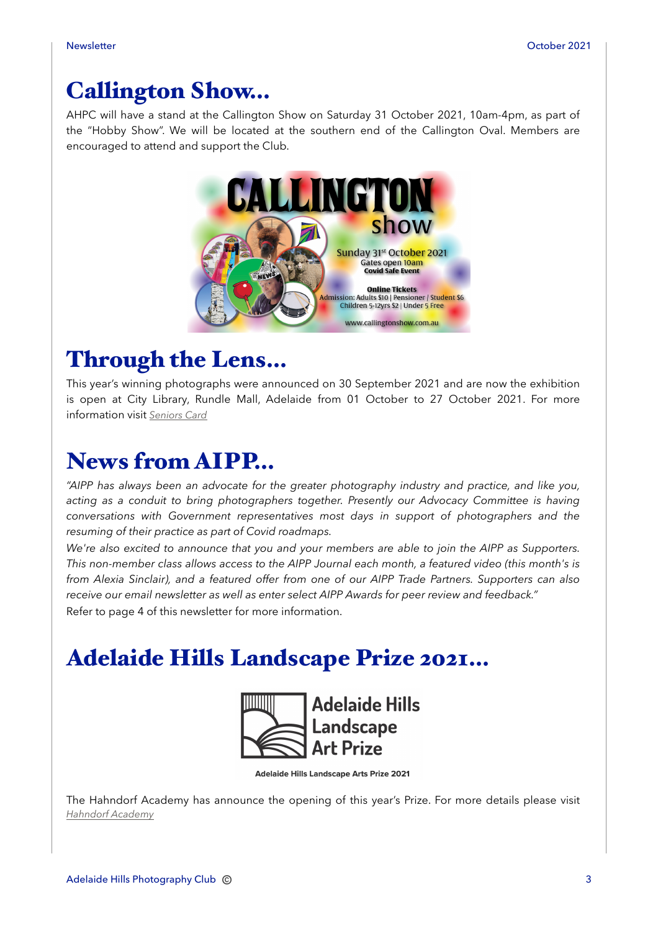## Callington Show…

AHPC will have a stand at the Callington Show on Saturday 31 October 2021, 10am-4pm, as part of the "Hobby Show". We will be located at the southern end of the Callington Oval. Members are encouraged to attend and support the Club.



## Through the Lens…

This year's winning photographs were announced on 30 September 2021 and are now the exhibition is open at City Library, Rundle Mall, Adelaide from 01 October to 27 October 2021. For more information visit *[Seniors Card](http://www.sa.gov.au/seniorscard/photo)*

## News from AIPP…

*"AIPP has always been an advocate for the greater photography industry and practice, and like you, acting as a conduit to bring photographers together. Presently our Advocacy Committee is having conversations with Government representatives most days in support of photographers and the resuming of their practice as part of Covid roadmaps.*

*We're also excited to announce that you and your members are able to join the AIPP as Supporters. This non-member class allows access to the AIPP Journal each month, a featured video (this month's is from Alexia Sinclair), and a featured offer from one of our AIPP Trade Partners. Supporters can also receive our email newsletter as well as enter select AIPP Awards for peer review and feedback."* Refer to page 4 of this newsletter for more information.

# Adelaide Hills Landscape Prize 2021…



**Adelaide Hills Landscape Arts Prize 2021** 

The Hahndorf Academy has announce the opening of this year's Prize. For more details please visit *[Hahndorf Academy](http://hahndorfacademy.org.au/adelaide-hills-landscape-arts-prize-2021)*